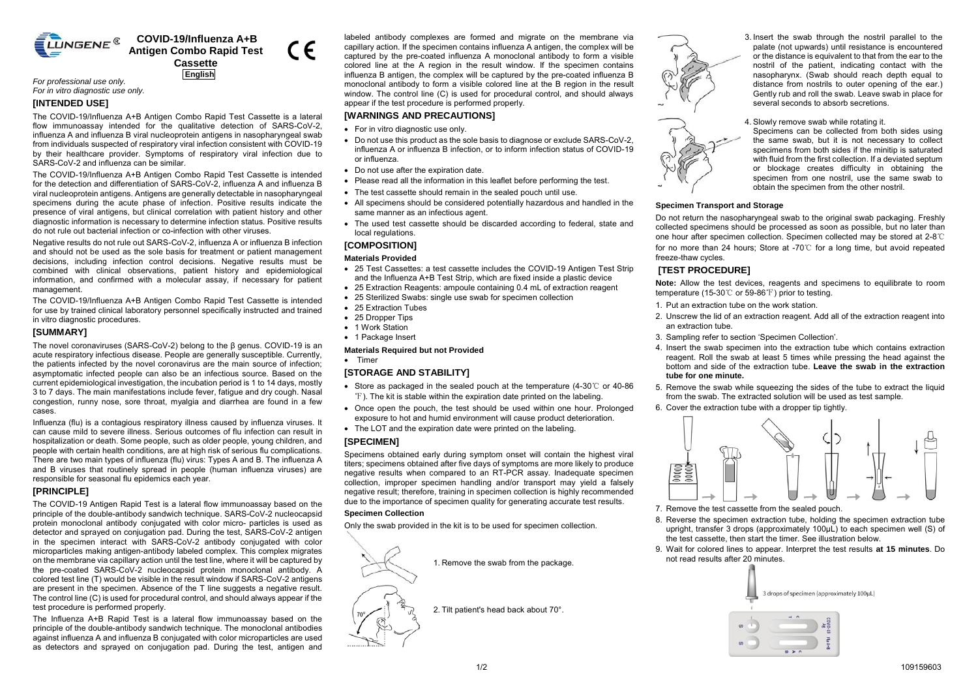

# **COVID-19/Influenza A+B Antigen Combo Rapid Test Cassette**

 $\epsilon$ 

**English**

*For professional use only. For in vitro diagnostic use only.* 

## **[INTENDED USE]**

The COVID-19/Influenza A+B Antigen Combo Rapid Test Cassette is a lateral flow immunoassay intended for the qualitative detection of SARS-CoV-2. influenza A and influenza B viral nucleoprotein antigens in nasopharyngeal swab from individuals suspected of respiratory viral infection consistent with COVID-19 by their healthcare provider. Symptoms of respiratory viral infection due to SARS-CoV-2 and influenza can be similar.

The COVID-19/Influenza A+B Antigen Combo Rapid Test Cassette is intended for the detection and differentiation of SARS-CoV-2, influenza A and influenza B viral nucleoprotein antigens. Antigens are generally detectable in nasopharyngeal specimens during the acute phase of infection. Positive results indicate the presence of viral antigens, but clinical correlation with patient history and other diagnostic information is necessary to determine infection status. Positive results do not rule out bacterial infection or co-infection with other viruses.

Negative results do not rule out SARS-CoV-2, influenza A or influenza B infection and should not be used as the sole basis for treatment or patient management decisions, including infection control decisions. Negative results must be combined with clinical observations, patient history and epidemiological information, and confirmed with a molecular assay, if necessary for patient management.

The COVID-19/Influenza A+B Antigen Combo Rapid Test Cassette is intended for use by trained clinical laboratory personnel specifically instructed and trained in vitro diagnostic procedures.

### **[SUMMARY]**

The novel coronaviruses (SARS-CoV-2) belong to the β genus. COVID-19 is an acute respiratory infectious disease. People are generally susceptible. Currently, the patients infected by the novel coronavirus are the main source of infection; asymptomatic infected people can also be an infectious source. Based on the current epidemiological investigation, the incubation period is 1 to 14 days, mostly 3 to 7 days. The main manifestations include fever, fatigue and dry cough. Nasal congestion, runny nose, sore throat, myalgia and diarrhea are found in a few cases.

Influenza (flu) is a contagious respiratory illness caused by influenza viruses. It can cause mild to severe illness. Serious outcomes of flu infection can result in hospitalization or death. Some people, such as older people, young children, and people with certain health conditions, are at high risk of serious flu complications. There are two main types of influenza (flu) virus: Types A and B. The influenza A and B viruses that routinely spread in people (human influenza viruses) are responsible for seasonal flu epidemics each year.

# **[PRINCIPLE]**

The COVID-19 Antigen Rapid Test is a lateral flow immunoassay based on the principle of the double-antibody sandwich technique. SARS-CoV-2 nucleocapsid protein monoclonal antibody conjugated with color micro- particles is used as detector and sprayed on conjugation pad. During the test, SARS-CoV-2 antigen in the specimen interact with SARS-CoV-2 antibody conjugated with color microparticles making antigen-antibody labeled complex. This complex migrates on the membrane via capillary action until the test line, where it will be captured by the pre-coated SARS-CoV-2 nucleocapsid protein monoclonal antibody. A colored test line (T) would be visible in the result window if SARS-CoV-2 antigens are present in the specimen. Absence of the T line suggests a negative result. The control line (C) is used for procedural control, and should always appear if the test procedure is performed properly.

The Influenza A+B Rapid Test is a lateral flow immunoassay based on the principle of the double-antibody sandwich technique. The monoclonal antibodies against influenza A and influenza B conjugated with color microparticles are used as detectors and sprayed on conjugation pad. During the test, antigen and

labeled antibody complexes are formed and migrate on the membrane via capillary action. If the specimen contains influenza A antigen, the complex will be captured by the pre-coated influenza A monoclonal antibody to form a visible colored line at the A region in the result window. If the specimen contains influenza B antigen, the complex will be captured by the pre-coated influenza B monoclonal antibody to form a visible colored line at the B region in the result window. The control line (C) is used for procedural control, and should always appear if the test procedure is performed properly.

### **[WARNINGS AND PRECAUTIONS]**

- For in vitro diagnostic use only.
- Do not use this product as the sole basis to diagnose or exclude SARS-CoV-2, influenza A or influenza B infection, or to inform infection status of COVID-19 or influenza.
- Do not use after the expiration date.
- Please read all the information in this leaflet before performing the test.
- The test cassette should remain in the sealed pouch until use.
- All specimens should be considered potentially hazardous and handled in the same manner as an infectious agent.
- The used test cassette should be discarded according to federal, state and local regulations.

# **[COMPOSITION]**

#### **Materials Provided**

- 25 Test Cassettes: a test cassette includes the COVID-19 Antigen Test Strip and the Influenza A+B Test Strip, which are fixed inside a plastic device
- 25 Extraction Reagents: ampoule containing 0.4 mL of extraction reagent
- 25 Sterilized Swabs: single use swab for specimen collection
- 25 Extraction Tubes
- 25 Dropper Tips • 1 Work Station
- 
- 1 Package Insert

### **Materials Required but not Provided**

• Timer

#### **[STORAGE AND STABILITY]**

- Store as packaged in the sealed pouch at the temperature (4-30℃ or 40-86 ℉). The kit is stable within the expiration date printed on the labeling.
- Once open the pouch, the test should be used within one hour. Prolonged exposure to hot and humid environment will cause product deterioration.
- The LOT and the expiration date were printed on the labeling.

#### **[SPECIMEN]**

Specimens obtained early during symptom onset will contain the highest viral titers; specimens obtained after five days of symptoms are more likely to produce negative results when compared to an RT-PCR assay. Inadequate specimen collection, improper specimen handling and/or transport may yield a falsely negative result; therefore, training in specimen collection is highly recommended due to the importance of specimen quality for generating accurate test results.

#### **Specimen Collection**

Only the swab provided in the kit is to be used for specimen collection.



2. Tilt patient's head back about 70°.





3. Insert the swab through the nostril parallel to the palate (not upwards) until resistance is encountered or the distance is equivalent to that from the ear to the nostril of the patient, indicating contact with the nasopharynx. (Swab should reach depth equal to distance from nostrils to outer opening of the ear.) Gently rub and roll the swab. Leave swab in place for several seconds to absorb secretions.

4. Slowly remove swab while rotating it.

Specimens can be collected from both sides using the same swab, but it is not necessary to collect specimens from both sides if the minitip is saturated with fluid from the first collection. If a deviated septum or blockage creates difficulty in obtaining the specimen from one nostril, use the same swab to obtain the specimen from the other nostril.

### **Specimen Transport and Storage**

Do not return the nasopharyngeal swab to the original swab packaging. Freshly collected specimens should be processed as soon as possible, but no later than one hour after specimen collection. Specimen collected may be stored at 2-8℃ for no more than 24 hours; Store at -70℃ for a long time, but avoid repeated freeze-thaw cycles.

## **[TEST PROCEDURE]**

**Note:** Allow the test devices, reagents and specimens to equilibrate to room temperature (15-30℃ or 59-86℉) prior to testing.

- 1. Put an extraction tube on the work station.
- 2. Unscrew the lid of an extraction reagent. Add all of the extraction reagent into an extraction tube.
- 3. Sampling refer to section 'Specimen Collection'.
- 4. Insert the swab specimen into the extraction tube which contains extraction reagent. Roll the swab at least 5 times while pressing the head against the bottom and side of the extraction tube. **Leave the swab in the extraction tube for one minute.**
- 5. Remove the swab while squeezing the sides of the tube to extract the liquid from the swab. The extracted solution will be used as test sample.
- 6. Cover the extraction tube with a dropper tip tightly.



- 7. Remove the test cassette from the sealed pouch.
- 8. Reverse the specimen extraction tube, holding the specimen extraction tube upright, transfer 3 drops (approximately 100μL) to each specimen well (S) of the test cassette, then start the timer. See illustration below.
- 9. Wait for colored lines to appear. Interpret the test results **at 15 minutes**. Do not read results after 20 minutes.